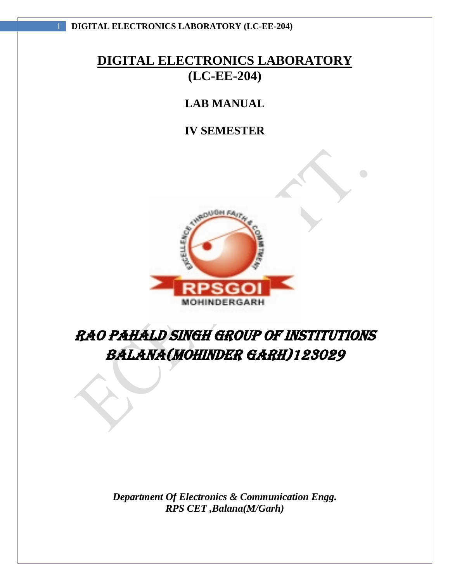# **LAB MANUAL**

# **IV SEMESTER**



# RAO PAHALD SINGH GROUP OF INSTITUTIONS BALANA(MOHINDER GARH)123029

*Department Of Electronics & Communication Engg. RPS CET ,Balana(M/Garh)*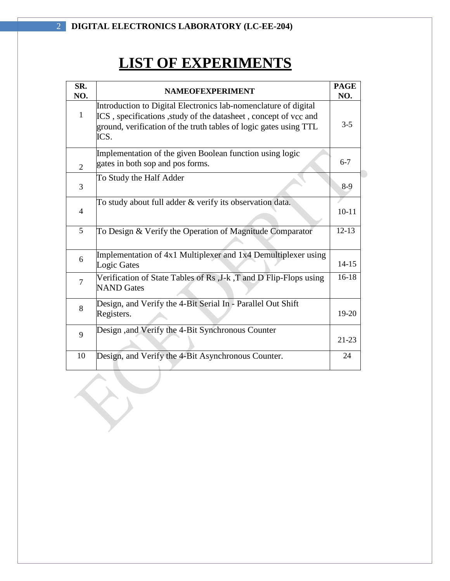# **LIST OF EXPERIMENTS**

| SR.<br>NO.     | <b>NAMEOFEXPERIMENT</b>                                                                                                                                                                                         | <b>PAGE</b><br>NO. |
|----------------|-----------------------------------------------------------------------------------------------------------------------------------------------------------------------------------------------------------------|--------------------|
| $\mathbf{1}$   | Introduction to Digital Electronics lab-nomenclature of digital<br>ICS, specifications, study of the datasheet, concept of vcc and<br>ground, verification of the truth tables of logic gates using TTL<br>ICS. | $3 - 5$            |
| $\overline{2}$ | Implementation of the given Boolean function using logic<br>gates in both sop and pos forms.                                                                                                                    | $6 - 7$            |
| 3              | To Study the Half Adder                                                                                                                                                                                         | $8-9$              |
| $\overline{4}$ | To study about full adder & verify its observation data.                                                                                                                                                        | $10 - 11$          |
| 5              | To Design & Verify the Operation of Magnitude Comparator                                                                                                                                                        | $12 - 13$          |
| 6              | Implementation of 4x1 Multiplexer and 1x4 Demultiplexer using<br>Logic Gates                                                                                                                                    | $14 - 15$          |
| $\overline{7}$ | Verification of State Tables of Rs , J-k, T and D Flip-Flops using<br><b>NAND</b> Gates                                                                                                                         | $16-18$            |
| 8              | Design, and Verify the 4-Bit Serial In - Parallel Out Shift<br>Registers.                                                                                                                                       | 19-20              |
| 9              | Design , and Verify the 4-Bit Synchronous Counter                                                                                                                                                               | $21 - 23$          |
| 10             | Design, and Verify the 4-Bit Asynchronous Counter.<br>ъ.                                                                                                                                                        | 24                 |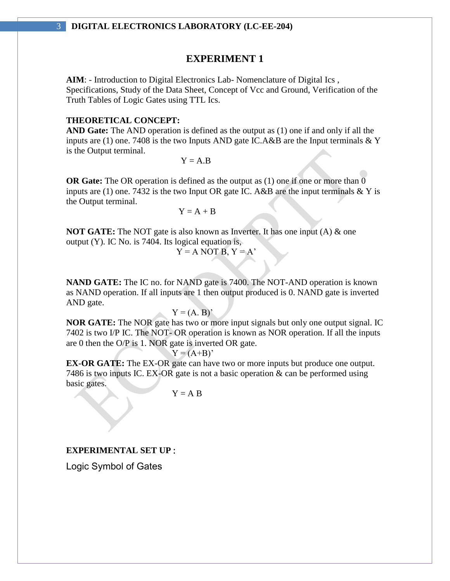#### **EXPERIMENT 1**

**AIM**: - Introduction to Digital Electronics Lab- Nomenclature of Digital Ics , Specifications, Study of the Data Sheet, Concept of Vcc and Ground, Verification of the Truth Tables of Logic Gates using TTL Ics.

#### **THEORETICAL CONCEPT:**

**AND Gate:** The AND operation is defined as the output as (1) one if and only if all the inputs are (1) one. 7408 is the two Inputs AND gate IC.A&B are the Input terminals  $& Y$ is the Output terminal.

 $Y = A.B$ 

**OR Gate:** The OR operation is defined as the output as (1) one if one or more than 0 inputs are (1) one. 7432 is the two Input OR gate IC. A&B are the input terminals  $&$  Y is the Output terminal.

 $Y = A + B$ 

**NOT GATE:** The NOT gate is also known as Inverter. It has one input (A) & one output (Y). IC No. is 7404. Its logical equation is,

$$
Y = A NOT B, Y = A'
$$

**NAND GATE:** The IC no. for NAND gate is 7400. The NOT-AND operation is known as NAND operation. If all inputs are 1 then output produced is 0. NAND gate is inverted AND gate.

$$
Y = (A, B)'
$$

**NOR GATE:** The NOR gate has two or more input signals but only one output signal. IC 7402 is two I/P IC. The NOT- OR operation is known as NOR operation. If all the inputs are 0 then the O/P is 1. NOR gate is inverted OR gate.

 $Y = (A+B)'$ 

**EX-OR GATE:** The EX-OR gate can have two or more inputs but produce one output. 7486 is two inputs IC. EX-OR gate is not a basic operation & can be performed using basic gates.

 $Y = A B$ 

#### **EXPERIMENTAL SET UP** :

Logic Symbol of Gates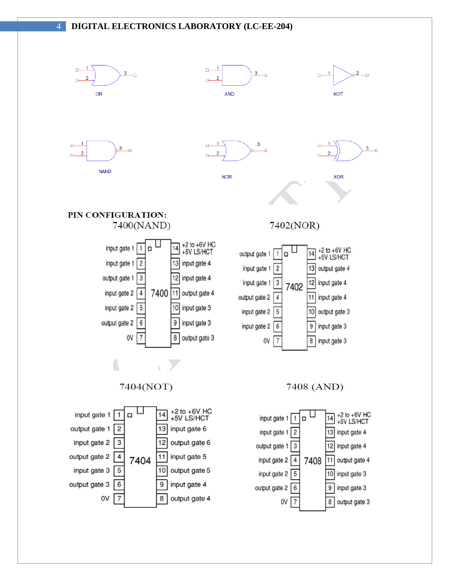

**NAND** 

 $\overline{1}$ 

 $\overline{2}$  $\Box$ 

 $\Box -$ 



3

O

 $\overline{1}$ 

**NOR** 

 $\Box$ 





# PIN CONFIGURATION: 7400(NAND)

 $3$ 



# 7402(NOR)









7404(NOT)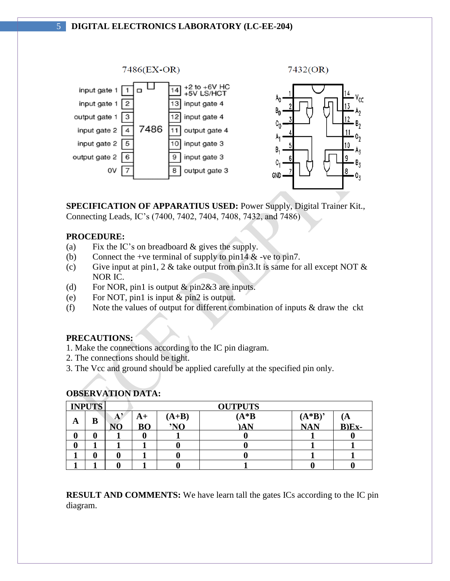

**SPECIFICATION OF APPARATIUS USED:** Power Supply, Digital Trainer Kit., Connecting Leads, IC's (7400, 7402, 7404, 7408, 7432, and 7486)

#### **PROCEDURE:**

- (a) Fix the IC's on breadboard & gives the supply.
- (b) Connect the +ve terminal of supply to pin14  $\&$  -ve to pin7.
- (c) Give input at pin1, 2  $\&$  take output from pin3. It is same for all except NOT  $\&$ NOR IC.
- (d) For NOR, pin1 is output & pin2&3 are inputs.
- (e) For NOT, pin1 is input & pin2 is output.
- (f) Note the values of output for different combination of inputs & draw the ckt

#### **PRECAUTIONS:**

- 1. Make the connections according to the IC pin diagram.
- 2. The connections should be tight.
- 3. The Vcc and ground should be applied carefully at the specified pin only.

#### **OBSERVATION DATA:**

|   | <b>INPUTS</b> |   | <b>OUTPUTS</b> |         |         |            |              |
|---|---------------|---|----------------|---------|---------|------------|--------------|
|   | B             | А | $A+$           | $(A+B)$ | $(A*B)$ | $(A*B)$    | $\mathbf{A}$ |
| A |               |   | <b>BO</b>      | 'NO     | )AN     | <b>NAN</b> | $B)Ex-$      |
| v |               |   |                |         |         |            |              |
|   |               |   |                |         |         |            |              |
|   |               |   |                |         |         |            |              |
|   |               |   |                |         |         |            |              |

**RESULT AND COMMENTS:** We have learn tall the gates ICs according to the IC pin diagram.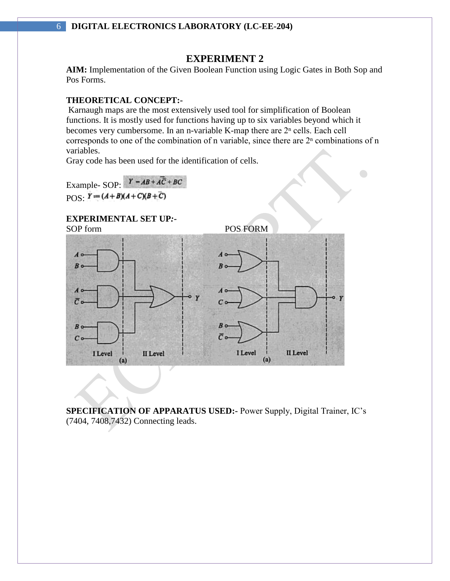# **EXPERIMENT 2**

**AIM:** Implementation of the Given Boolean Function using Logic Gates in Both Sop and Pos Forms.

#### **THEORETICAL CONCEPT:-**

Karnaugh maps are the most extensively used tool for simplification of Boolean functions. It is mostly used for functions having up to six variables beyond which it becomes very cumbersome. In an n-variable K-map there are  $2<sup>n</sup>$  cells. Each cell corresponds to one of the combination of n variable, since there are  $2<sup>n</sup>$  combinations of n variables.

 $\bigcirc$ 

Gray code has been used for the identification of cells.

Example- SOP:  $Y = AB + A\overline{C} + BC$  $POS: Y = (A+B)(A+C)(B+C)$ 

**EXPERIMENTAL SET UP***:-*



**SPECIFICATION OF APPARATUS USED:-** Power Supply, Digital Trainer, IC's (7404, 7408,7432) Connecting leads.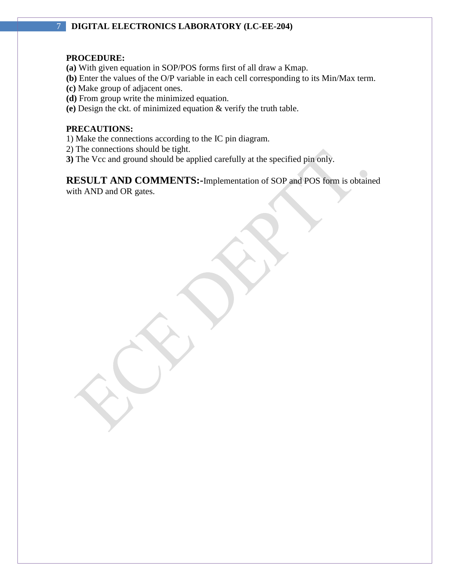#### **PROCEDURE:**

- **(a)** With given equation in SOP/POS forms first of all draw a Kmap.
- **(b)** Enter the values of the O/P variable in each cell corresponding to its Min/Max term.
- **(c)** Make group of adjacent ones.
- **(d)** From group write the minimized equation.
- **(e)** Design the ckt. of minimized equation & verify the truth table.

#### **PRECAUTIONS:**

- 1) Make the connections according to the IC pin diagram.
- 2) The connections should be tight.
- **3)** The Vcc and ground should be applied carefully at the specified pin only.

**RESULT AND COMMENTS:-**Implementation of SOP and POS form is obtained with AND and OR gates.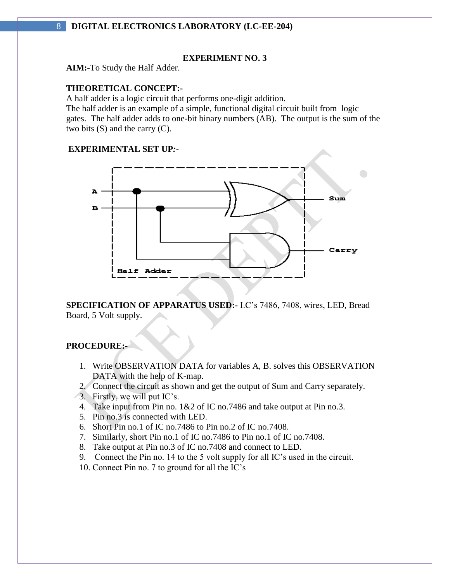#### **EXPERIMENT NO. 3**

**AIM:***-*To Study the Half Adder.

#### **THEORETICAL CONCEPT:-**

A half adder is a logic circuit that performs one-digit addition.

The half adder is an example of a simple, functional digital circuit built from logic gates. The half adder adds to one-bit binary numbers (AB). The output is the sum of the two bits (S) and the carry (C).

#### **EXPERIMENTAL SET UP***:-*



**SPECIFICATION OF APPARATUS USED:-** I.C's 7486, 7408, wires, LED, Bread Board, 5 Volt supply.

## **PROCEDURE:-**

- 1. Write OBSERVATION DATA for variables A, B. solves this OBSERVATION DATA with the help of K-map.
- 2. Connect the circuit as shown and get the output of Sum and Carry separately.
- 3. Firstly, we will put IC's.
- 4. Take input from Pin no. 1&2 of IC no.7486 and take output at Pin no.3.
- 5. Pin no.3 is connected with LED.
- 6. Short Pin no.1 of IC no.7486 to Pin no.2 of IC no.7408.
- 7. Similarly, short Pin no.1 of IC no.7486 to Pin no.1 of IC no.7408.
- 8. Take output at Pin no.3 of IC no.7408 and connect to LED.
- 9. Connect the Pin no. 14 to the 5 volt supply for all IC's used in the circuit.
- 10. Connect Pin no. 7 to ground for all the IC's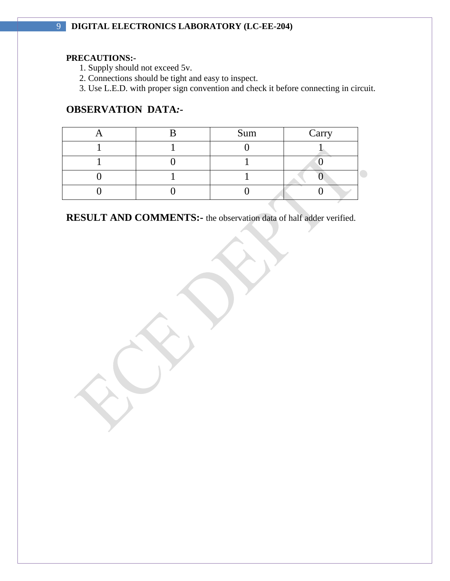## **PRECAUTIONS:-**

1. Supply should not exceed 5v.

2. Connections should be tight and easy to inspect.

3. Use L.E.D. with proper sign convention and check it before connecting in circuit.

# **OBSERVATION DATA***:-*

|  | Sum | Carry |
|--|-----|-------|
|  |     |       |
|  |     |       |
|  |     |       |
|  |     |       |

**RESULT AND COMMENTS:-** the observation data of half adder verified.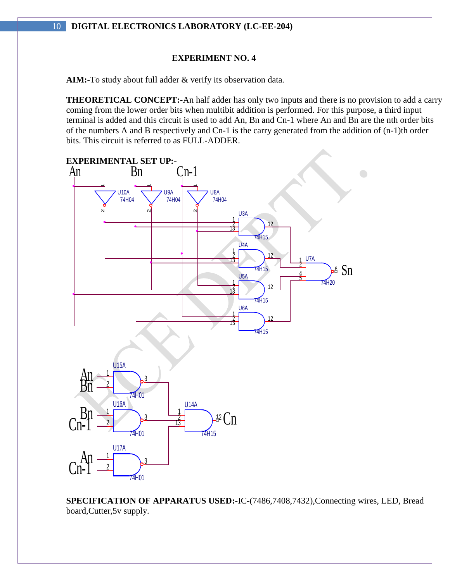#### **EXPERIMENT NO. 4**

**AIM:-**To study about full adder & verify its observation data*.*

**THEORETICAL CONCEPT:-**An half adder has only two inputs and there is no provision to add a carry coming from the lower order bits when multibit addition is performed. For this purpose, a third input terminal is added and this circuit is used to add An, Bn and Cn-1 where An and Bn are the nth order bits of the numbers A and B respectively and Cn-1 is the carry generated from the addition of (n-1)th order bits. This circuit is referred to as FULL-ADDER.



**SPECIFICATION OF APPARATUS USED:-**IC-(7486,7408,7432),Connecting wires, LED, Bread board,Cutter,5v supply.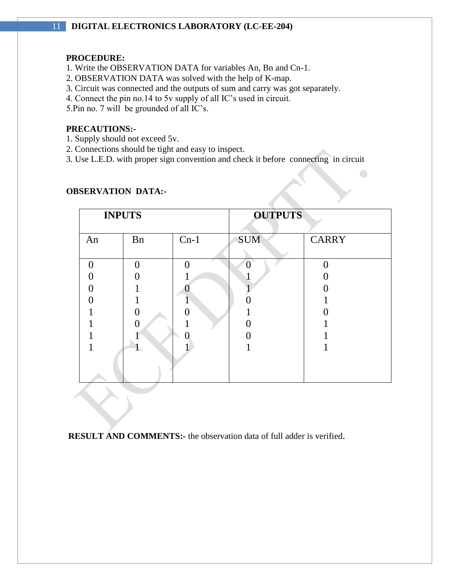#### **PROCEDURE:**

- 1. Write the OBSERVATION DATA for variables An, Bn and Cn-1.
- 2. OBSERVATION DATA was solved with the help of K-map.
- 3. Circuit was connected and the outputs of sum and carry was got separately.
- 4. Connect the pin no.14 to 5v supply of all IC's used in circuit.

5.Pin no. 7 will be grounded of all IC's.

#### **PRECAUTIONS:-**

- 1. Supply should not exceed 5v.
- 2. Connections should be tight and easy to inspect.
- 3. Use L.E.D. with proper sign convention and check it before connecting in circuit

 $\bigcirc$ 

| <b>INPUTS</b> |    |          | <b>OUTPUTS</b> |              |
|---------------|----|----------|----------------|--------------|
| An            | Bn | $Cn-1$   | <b>SUM</b>     | <b>CARRY</b> |
|               |    |          |                |              |
| $\Omega$      | ∩  | $\Omega$ | $\Omega$       |              |
|               |    |          |                |              |
|               |    |          |                |              |
|               |    |          |                |              |
|               |    |          |                |              |
|               | 0  |          |                |              |
|               |    |          |                |              |
|               |    |          |                |              |
|               |    |          |                |              |

# **OBSERVATION DATA:-**

**RESULT AND COMMENTS:-** the observation data of full adder is verified.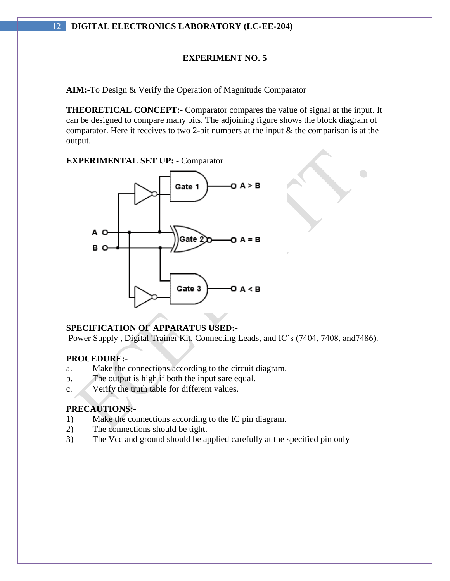# **EXPERIMENT NO. 5**

**AIM:-**To Design & Verify the Operation of Magnitude Comparator

**THEORETICAL CONCEPT:-** Comparator compares the value of signal at the input. It can be designed to compare many bits. The adjoining figure shows the block diagram of comparator. Here it receives to two 2-bit numbers at the input & the comparison is at the output.

 $\bigodot$ 

**EXPERIMENTAL SET UP: -** Comparator



#### **SPECIFICATION OF APPARATUS USED:-**

Power Supply , Digital Trainer Kit. Connecting Leads, and IC's (7404, 7408, and7486).

#### **PROCEDURE:-**

- a. Make the connections according to the circuit diagram.
- b. The output is high if both the input sare equal.
- c. Verify the truth table for different values.

# **PRECAUTIONS:-**

- 1) Make the connections according to the IC pin diagram.
- 2) The connections should be tight.
- 3) The Vcc and ground should be applied carefully at the specified pin only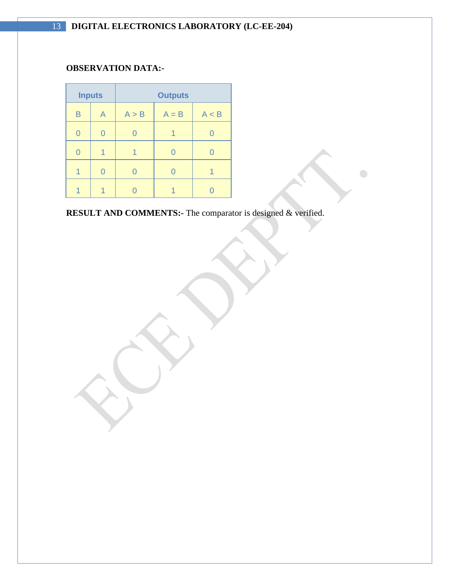# **OBSERVATION DATA:-**

|   | <b>Inputs</b> | <b>Outputs</b> |         |       |  |
|---|---------------|----------------|---------|-------|--|
| B | А             | A > B          | $A = B$ | A < B |  |
| 0 |               |                |         |       |  |
| 0 |               |                |         |       |  |
|   |               |                |         |       |  |
|   |               |                |         |       |  |

**RESULT AND COMMENTS:-** The comparator is designed & verified.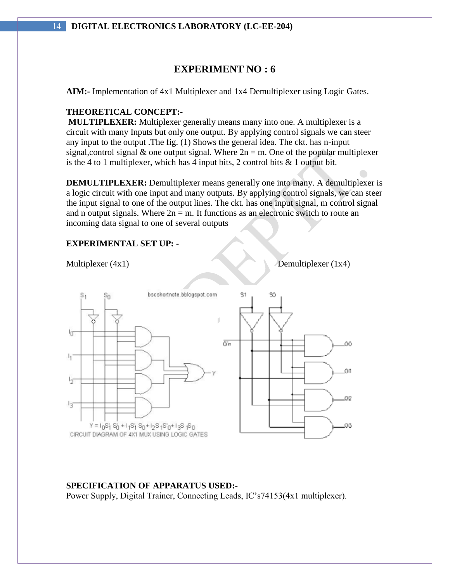# **EXPERIMENT NO : 6**

**AIM:-** Implementation of 4x1 Multiplexer and 1x4 Demultiplexer using Logic Gates.

#### **THEORETICAL CONCEPT:-**

**MULTIPLEXER:** Multiplexer generally means many into one. A multiplexer is a circuit with many Inputs but only one output. By applying control signals we can steer any input to the output .The fig. (1) Shows the general idea. The ckt. has n-input signal, control signal  $\&$  one output signal. Where  $2n = m$ . One of the popular multiplexer is the 4 to 1 multiplexer, which has 4 input bits, 2 control bits  $\&$  1 output bit.

**DEMULTIPLEXER:** Demultiplexer means generally one into many. A demultiplexer is a logic circuit with one input and many outputs. By applying control signals, we can steer the input signal to one of the output lines. The ckt. has one input signal, m control signal and n output signals. Where  $2n = m$ . It functions as an electronic switch to route an incoming data signal to one of several outputs

#### **EXPERIMENTAL SET UP: -**

Multiplexer  $(4x1)$  Demultiplexer  $(1x4)$ 



#### **SPECIFICATION OF APPARATUS USED:-**

Power Supply, Digital Trainer, Connecting Leads, IC's74153(4x1 multiplexer).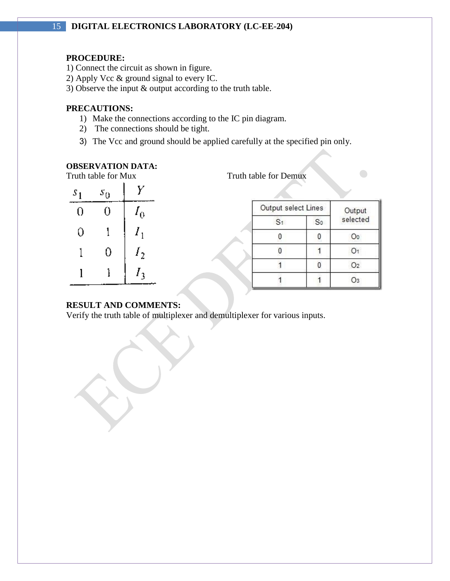#### **PROCEDURE:**

- 1) Connect the circuit as shown in figure.
- 2) Apply Vcc & ground signal to every IC.
- 3) Observe the input & output according to the truth table.

## **PRECAUTIONS:**

- 1) Make the connections according to the IC pin diagram.
- 2) The connections should be tight.
- 3) The Vcc and ground should be applied carefully at the specified pin only.

# **OBSERVATION DATA:**

|       | Truth table for Mux |                     | Truth table for Demux |                |                |
|-------|---------------------|---------------------|-----------------------|----------------|----------------|
| $S_1$ | $s_0$               |                     |                       |                |                |
|       |                     | Output select Lines |                       |                | Output         |
|       |                     |                     | S <sub>1</sub>        | S <sub>0</sub> | selected       |
|       |                     |                     |                       |                | O0             |
|       |                     |                     |                       |                | O1             |
|       |                     |                     |                       | 0              | O <sub>2</sub> |
|       |                     |                     |                       |                | O3             |

#### **RESULT AND COMMENTS:**

Verify the truth table of multiplexer and demultiplexer for various inputs.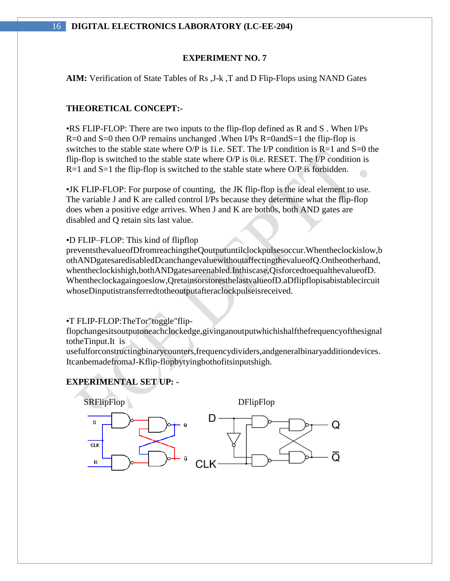#### **EXPERIMENT NO. 7**

**AIM:** Verification of State Tables of Rs ,J-k ,T and D Flip-Flops using NAND Gates

#### **THEORETICAL CONCEPT:-**

•RS FLIP-FLOP: There are two inputs to the flip-flop defined as R and S . When I/Ps R=0 and S=0 then O/P remains unchanged .When I/Ps R=0andS=1 the flip-flop is switches to the stable state where  $O/P$  is 1i.e. SET. The I/P condition is R=1 and S=0 the flip-flop is switched to the stable state where O/P is 0i.e. RESET. The I/P condition is  $R=1$  and  $S=1$  the flip-flop is switched to the stable state where O/P is forbidden.

•JK FLIP-FLOP: For purpose of counting, the JK flip-flop is the ideal element to use. The variable J and K are called control I/Ps because they determine what the flip-flop does when a positive edge arrives. When J and K are both0s, both AND gates are disabled and Q retain sits last value.

#### •D FLIP–FLOP: This kind of flipflop

preventsthevalueofDfromreachingtheQoutputuntilclockpulsesoccur.Whentheclockislow,b othANDgatesaredisabledDcanchangevaluewithoutaffectingthevalueofQ.Ontheotherhand, whentheclockishigh,bothANDgatesareenabled.Inthiscase,QisforcedtoequalthevalueofD. Whentheclockagaingoeslow,QretainsorstoresthelastvalueofD.aDflipflopisabistablecircuit whoseDinputistransferredtotheoutputafteraclockpulseisreceived.

•T FLIP-FLOP:TheTor"toggle"flip-

flopchangesitsoutputoneachclockedge,givinganoutputwhichishalfthefrequencyofthesignal totheTinput.It is

usefulforconstructingbinarycounters,frequencydividers,andgeneralbinaryadditiondevices. ItcanbemadefromaJ-Kflip-flopbytyingbothofitsinputshigh.

#### **EXPERIMENTAL SET UP: -**

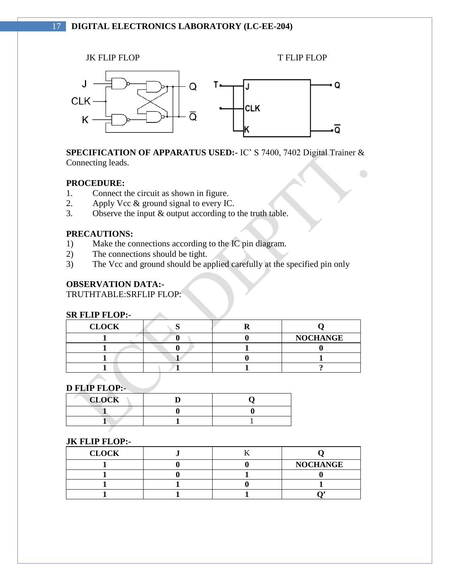

**SPECIFICATION OF APPARATUS USED:-** IC' S 7400, 7402 Digital Trainer & Connecting leads.

 $\bigodot$ 

#### **PROCEDURE:**

- 1. Connect the circuit as shown in figure.
- 2. Apply Vcc & ground signal to every IC.
- 3. Observe the input & output according to the truth table.

#### **PRECAUTIONS:**

1) Make the connections according to the IC pin diagram.

 $\mathcal{L}$ 

- 2) The connections should be tight.
- 3) The Vcc and ground should be applied carefully at the specified pin only

# **OBSERVATION DATA:-**

TRUTHTABLE:SRFLIP FLOP:

#### **SR FLIP FLOP:-**

| <b>CLOCK</b> |  |                 |
|--------------|--|-----------------|
|              |  | <b>NOCHANGE</b> |
|              |  |                 |
|              |  |                 |
|              |  |                 |

#### **D FLIP FLOP:-**

| <b>CLOCK</b> |  |
|--------------|--|
|              |  |
|              |  |

#### **JK FLIP FLOP:-**

| <b>CLOCK</b> |  |                 |
|--------------|--|-----------------|
|              |  | <b>NOCHANGE</b> |
|              |  |                 |
|              |  |                 |
|              |  |                 |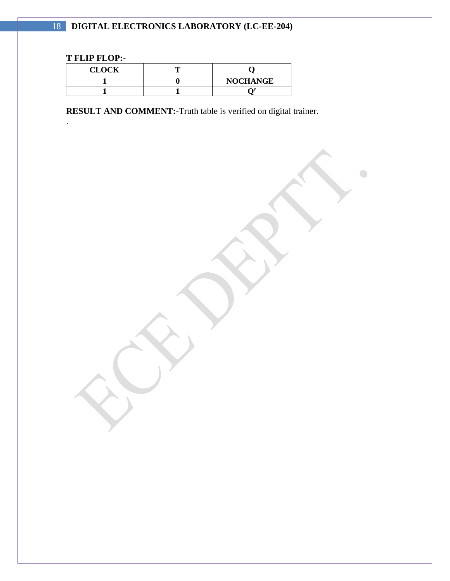# **T FLIP FLOP:-**

.

| <b>CLOCK</b> |                 |
|--------------|-----------------|
|              | <b>NOCHANGE</b> |
|              |                 |

**RESULT AND COMMENT:-**Truth table is verified on digital trainer.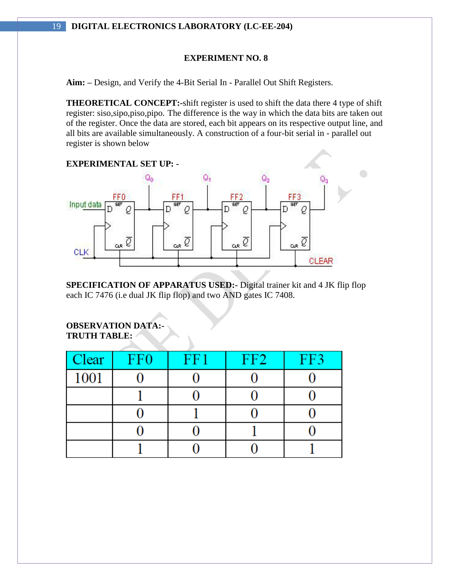# **EXPERIMENT NO. 8**

**Aim: –** Design, and Verify the 4-Bit Serial In - Parallel Out Shift Registers.

**THEORETICAL CONCEPT:-**shift register is used to shift the data there 4 type of shift register: siso,sipo,piso,pipo. The difference is the way in which the data bits are taken out of the register. Once the data are stored, each bit appears on its respective output line, and all bits are available simultaneously. A construction of a four-bit serial in - parallel out register is shown below



**SPECIFICATION OF APPARATUS USED:-** Digital trainer kit and 4 JK flip flop each IC 7476 (i.e dual JK flip flop) and two AND gates IC 7408.

#### **OBSERVATION DATA:- TRUTH TABLE:**

| <b>Clear</b> | FF <sub>0</sub> | FF1 | FF2 | FF3 |
|--------------|-----------------|-----|-----|-----|
| 1001         |                 |     |     |     |
|              |                 |     |     |     |
|              |                 |     |     |     |
|              |                 |     |     |     |
|              |                 |     |     |     |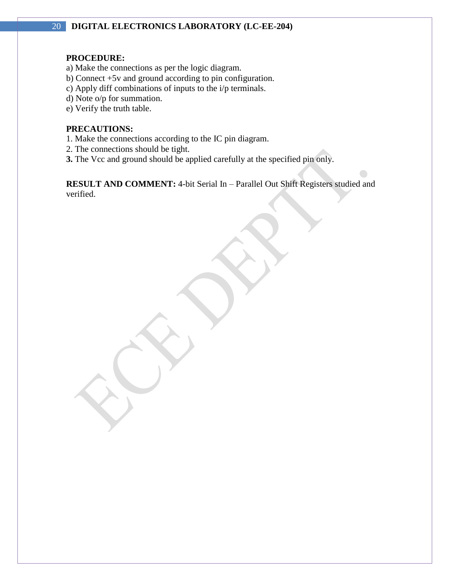# **PROCEDURE:**

- a) Make the connections as per the logic diagram.
- b) Connect +5v and ground according to pin configuration.
- c) Apply diff combinations of inputs to the i/p terminals.
- d) Note o/p for summation.
- e) Verify the truth table.

#### **PRECAUTIONS:**

- 1. Make the connections according to the IC pin diagram.
- 2. The connections should be tight.
- **3.** The Vcc and ground should be applied carefully at the specified pin only.

**RESULT AND COMMENT:** 4-bit Serial In – Parallel Out Shift Registers studied and verified.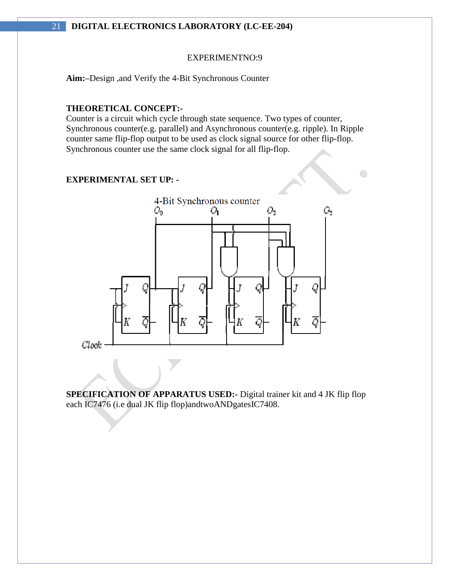#### EXPERIMENTNO:9

**Aim:–**Design ,and Verify the 4-Bit Synchronous Counter

#### **THEORETICAL CONCEPT:-**

Counter is a circuit which cycle through state sequence. Two types of counter, Synchronous counter(e.g. parallel) and Asynchronous counter(e.g. ripple). In Ripple counter same flip-flop output to be used as clock signal source for other flip-flop. Synchronous counter use the same clock signal for all flip-flop.

 $\bigcirc$ 

#### **EXPERIMENTAL SET UP: -**



**SPECIFICATION OF APPARATUS USED:-** Digital trainer kit and 4 JK flip flop each IC7476 (i.e dual JK flip flop)andtwoANDgatesIC7408.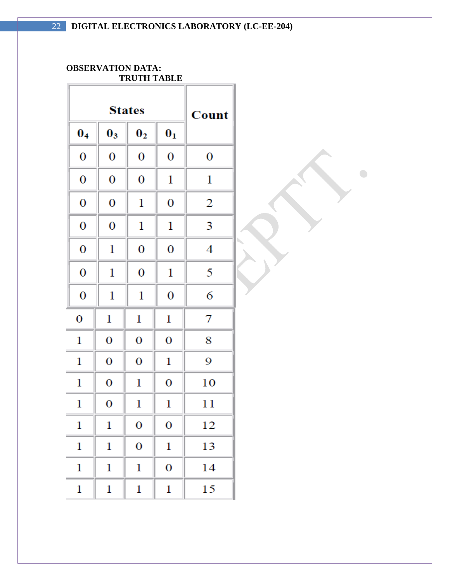$\begin{picture}(220,20) \put(0,0){\line(1,0){10}} \put(15,0){\line(1,0){10}} \put(15,0){\line(1,0){10}} \put(15,0){\line(1,0){10}} \put(15,0){\line(1,0){10}} \put(15,0){\line(1,0){10}} \put(15,0){\line(1,0){10}} \put(15,0){\line(1,0){10}} \put(15,0){\line(1,0){10}} \put(15,0){\line(1,0){10}} \put(15,0){\line(1,0){10}} \put(15,0){\line($ 

#### **OBSERVATION DATA: TRUTH TABLE**

|                  | <b>States</b>  | Count          |                |    |
|------------------|----------------|----------------|----------------|----|
| 0 <sub>4</sub>   | $\mathbf{0}_3$ | $\mathbf{0}_2$ | $\mathbf{0}_1$ |    |
| 0                | 0              | 0              | 0              | 0  |
| 0                | 0              | 0              | 1              | 1  |
| 0                | 0              | 1              | 0              | 2  |
| 0                | 0              | 1              | 1              | 3  |
| 0                | 1              | 0              | 0              | 4  |
| 0                | 1              | 0              | 1              | 5  |
| 0                | 1              | 1              | 0              | 6  |
| $\boldsymbol{0}$ | 1              | 1              | 1              | 7  |
| 1                | 0              | 0              | 0              | 8  |
| 1                | 0              | 0              | 1              | 9  |
| 1                | 0              | 1              | 0              | 10 |
| 1                | 0              | 1              | 1              | 11 |
| $\mathbf 1$      | $\mathbf 1$    | 0              | 0              | 12 |
| 1                | $\mathbf 1$    | 0              | 1              | 13 |
| $\mathbf{1}$     | $\mathbf 1$    | $\mathbf 1$    | 0              | 14 |
| $\mathbf 1$      | 1              | 1              | 1              | 15 |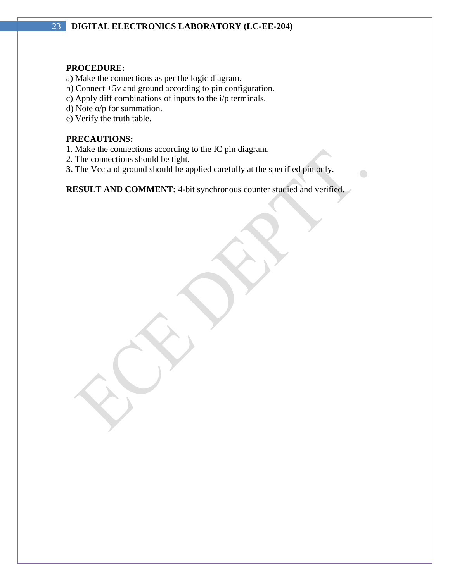#### **PROCEDURE:**

- a) Make the connections as per the logic diagram.
- b) Connect +5v and ground according to pin configuration.
- c) Apply diff combinations of inputs to the i/p terminals.
- d) Note o/p for summation.
- e) Verify the truth table.

# **PRECAUTIONS:**

- 1. Make the connections according to the IC pin diagram.
- 2. The connections should be tight.
- **3.** The Vcc and ground should be applied carefully at the specified pin only.

**RESULT AND COMMENT:** 4-bit synchronous counter studied and verified.